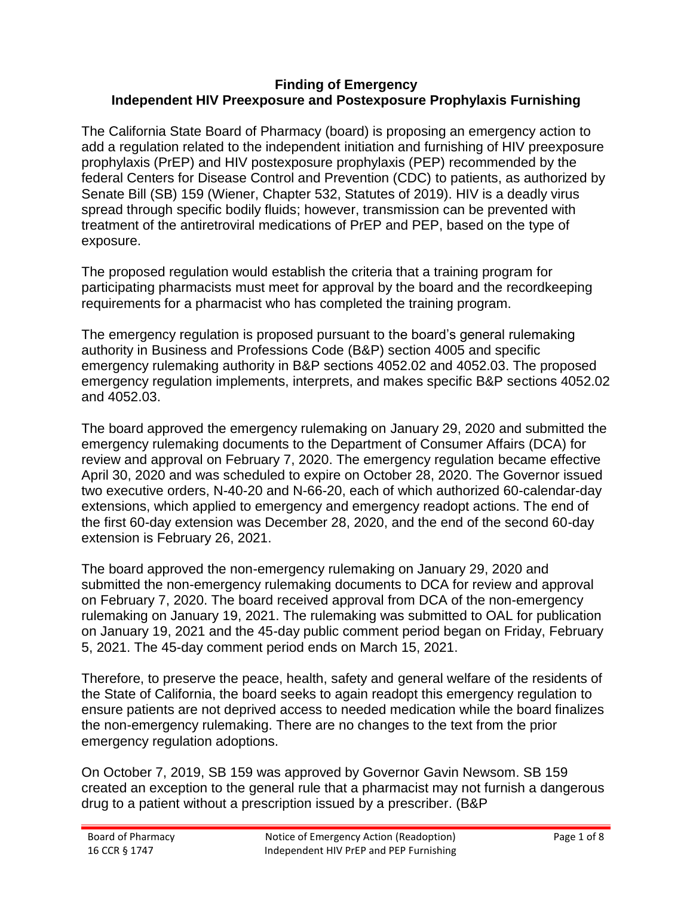#### **Finding of Emergency Independent HIV Preexposure and Postexposure Prophylaxis Furnishing**

The California State Board of Pharmacy (board) is proposing an emergency action to add a regulation related to the independent initiation and furnishing of HIV preexposure prophylaxis (PrEP) and HIV postexposure prophylaxis (PEP) recommended by the federal Centers for Disease Control and Prevention (CDC) to patients, as authorized by Senate Bill (SB) 159 (Wiener, Chapter 532, Statutes of 2019). HIV is a deadly virus spread through specific bodily fluids; however, transmission can be prevented with treatment of the antiretroviral medications of PrEP and PEP, based on the type of exposure.

The proposed regulation would establish the criteria that a training program for participating pharmacists must meet for approval by the board and the recordkeeping requirements for a pharmacist who has completed the training program.

The emergency regulation is proposed pursuant to the board's general rulemaking authority in Business and Professions Code (B&P) section 4005 and specific emergency rulemaking authority in B&P sections 4052.02 and 4052.03. The proposed emergency regulation implements, interprets, and makes specific B&P sections 4052.02 and 4052.03.

The board approved the emergency rulemaking on January 29, 2020 and submitted the emergency rulemaking documents to the Department of Consumer Affairs (DCA) for review and approval on February 7, 2020. The emergency regulation became effective April 30, 2020 and was scheduled to expire on October 28, 2020. The Governor issued two executive orders, N-40-20 and N-66-20, each of which authorized 60-calendar-day extensions, which applied to emergency and emergency readopt actions. The end of the first 60-day extension was December 28, 2020, and the end of the second 60-day extension is February 26, 2021.

The board approved the non-emergency rulemaking on January 29, 2020 and submitted the non-emergency rulemaking documents to DCA for review and approval on February 7, 2020. The board received approval from DCA of the non-emergency rulemaking on January 19, 2021. The rulemaking was submitted to OAL for publication on January 19, 2021 and the 45-day public comment period began on Friday, February 5, 2021. The 45-day comment period ends on March 15, 2021.

Therefore, to preserve the peace, health, safety and general welfare of the residents of the State of California, the board seeks to again readopt this emergency regulation to ensure patients are not deprived access to needed medication while the board finalizes the non-emergency rulemaking. There are no changes to the text from the prior emergency regulation adoptions.

On October 7, 2019, SB 159 was approved by Governor Gavin Newsom. SB 159 created an exception to the general rule that a pharmacist may not furnish a dangerous drug to a patient without a prescription issued by a prescriber. (B&P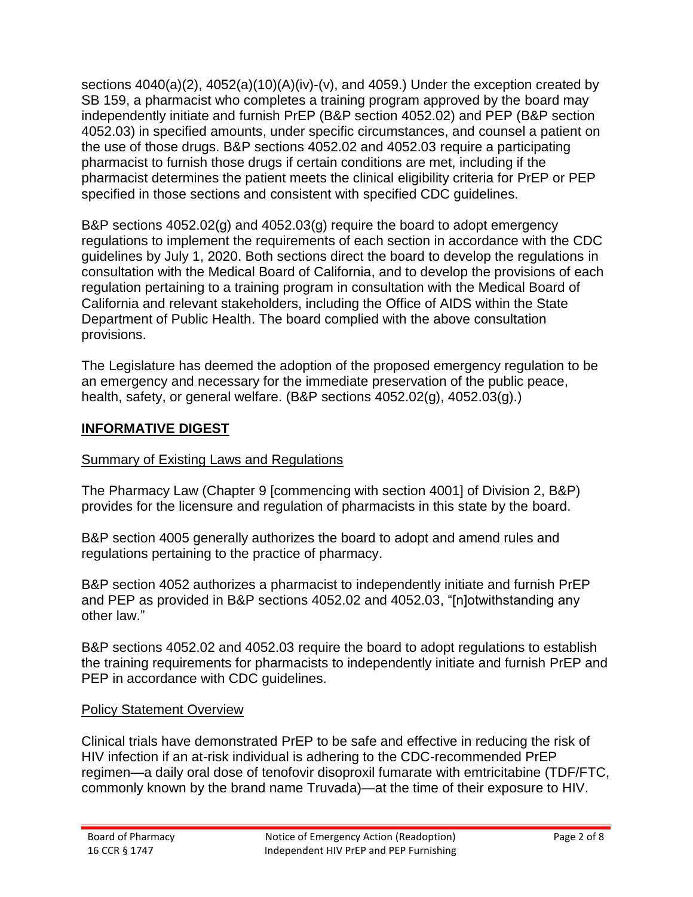sections 4040(a)(2), 4052(a)(10)(A)(iv)-(v), and 4059.) Under the exception created by SB 159, a pharmacist who completes a training program approved by the board may independently initiate and furnish PrEP (B&P section 4052.02) and PEP (B&P section 4052.03) in specified amounts, under specific circumstances, and counsel a patient on the use of those drugs. B&P sections 4052.02 and 4052.03 require a participating pharmacist to furnish those drugs if certain conditions are met, including if the pharmacist determines the patient meets the clinical eligibility criteria for PrEP or PEP specified in those sections and consistent with specified CDC guidelines.

B&P sections 4052.02(g) and 4052.03(g) require the board to adopt emergency regulations to implement the requirements of each section in accordance with the CDC guidelines by July 1, 2020. Both sections direct the board to develop the regulations in consultation with the Medical Board of California, and to develop the provisions of each regulation pertaining to a training program in consultation with the Medical Board of California and relevant stakeholders, including the Office of AIDS within the State Department of Public Health. The board complied with the above consultation provisions.

The Legislature has deemed the adoption of the proposed emergency regulation to be an emergency and necessary for the immediate preservation of the public peace, health, safety, or general welfare. (B&P sections 4052.02(g), 4052.03(g).)

### **INFORMATIVE DIGEST**

#### Summary of Existing Laws and Regulations

The Pharmacy Law (Chapter 9 [commencing with section 4001] of Division 2, B&P) provides for the licensure and regulation of pharmacists in this state by the board.

B&P section 4005 generally authorizes the board to adopt and amend rules and regulations pertaining to the practice of pharmacy.

B&P section 4052 authorizes a pharmacist to independently initiate and furnish PrEP and PEP as provided in B&P sections 4052.02 and 4052.03, "[n]otwithstanding any other law."

B&P sections 4052.02 and 4052.03 require the board to adopt regulations to establish the training requirements for pharmacists to independently initiate and furnish PrEP and PEP in accordance with CDC guidelines.

#### Policy Statement Overview

Clinical trials have demonstrated PrEP to be safe and effective in reducing the risk of HIV infection if an at-risk individual is adhering to the CDC-recommended PrEP regimen—a daily oral dose of tenofovir disoproxil fumarate with emtricitabine (TDF/FTC, commonly known by the brand name Truvada)—at the time of their exposure to HIV.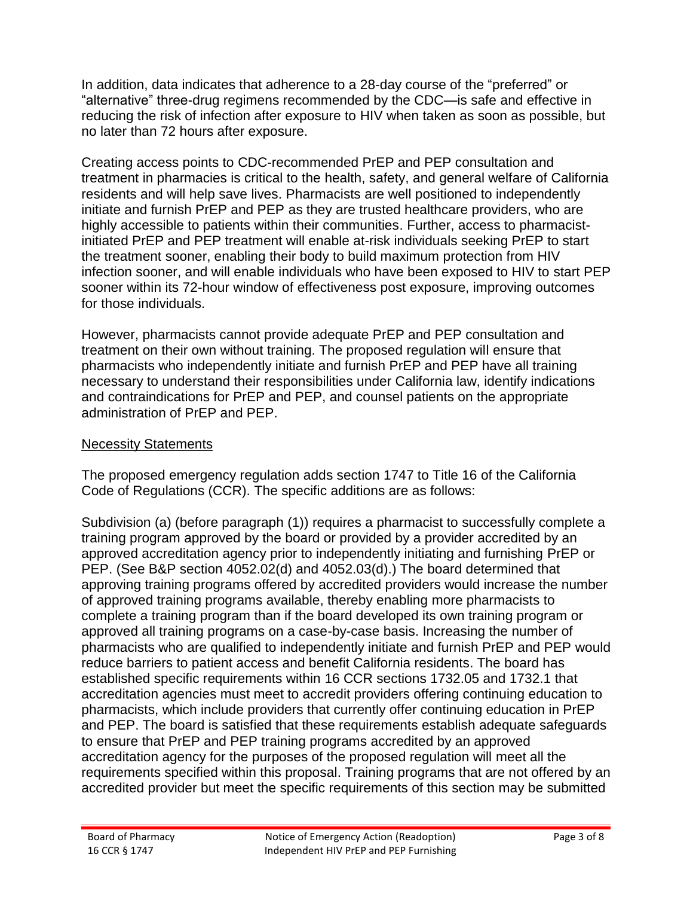In addition, data indicates that adherence to a 28-day course of the "preferred" or "alternative" three-drug regimens recommended by the CDC—is safe and effective in reducing the risk of infection after exposure to HIV when taken as soon as possible, but no later than 72 hours after exposure.

Creating access points to CDC-recommended PrEP and PEP consultation and treatment in pharmacies is critical to the health, safety, and general welfare of California residents and will help save lives. Pharmacists are well positioned to independently initiate and furnish PrEP and PEP as they are trusted healthcare providers, who are highly accessible to patients within their communities. Further, access to pharmacistinitiated PrEP and PEP treatment will enable at-risk individuals seeking PrEP to start the treatment sooner, enabling their body to build maximum protection from HIV infection sooner, and will enable individuals who have been exposed to HIV to start PEP sooner within its 72-hour window of effectiveness post exposure, improving outcomes for those individuals.

However, pharmacists cannot provide adequate PrEP and PEP consultation and treatment on their own without training. The proposed regulation will ensure that pharmacists who independently initiate and furnish PrEP and PEP have all training necessary to understand their responsibilities under California law, identify indications and contraindications for PrEP and PEP, and counsel patients on the appropriate administration of PrEP and PEP.

### Necessity Statements

The proposed emergency regulation adds section 1747 to Title 16 of the California Code of Regulations (CCR). The specific additions are as follows:

Subdivision (a) (before paragraph (1)) requires a pharmacist to successfully complete a training program approved by the board or provided by a provider accredited by an approved accreditation agency prior to independently initiating and furnishing PrEP or PEP. (See B&P section 4052.02(d) and 4052.03(d).) The board determined that approving training programs offered by accredited providers would increase the number of approved training programs available, thereby enabling more pharmacists to complete a training program than if the board developed its own training program or approved all training programs on a case-by-case basis. Increasing the number of pharmacists who are qualified to independently initiate and furnish PrEP and PEP would reduce barriers to patient access and benefit California residents. The board has established specific requirements within 16 CCR sections 1732.05 and 1732.1 that accreditation agencies must meet to accredit providers offering continuing education to pharmacists, which include providers that currently offer continuing education in PrEP and PEP. The board is satisfied that these requirements establish adequate safeguards to ensure that PrEP and PEP training programs accredited by an approved accreditation agency for the purposes of the proposed regulation will meet all the requirements specified within this proposal. Training programs that are not offered by an accredited provider but meet the specific requirements of this section may be submitted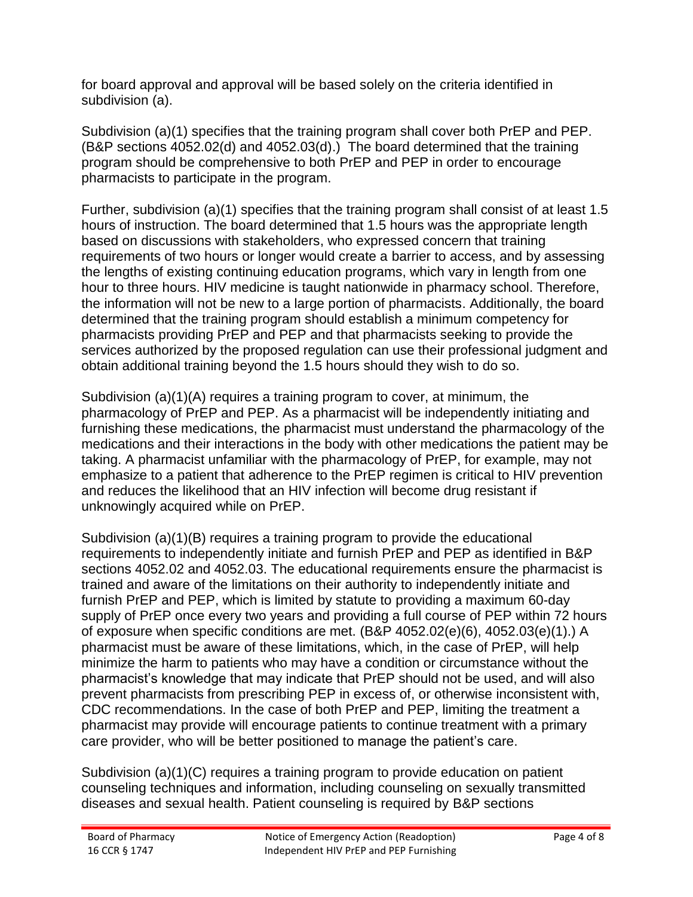for board approval and approval will be based solely on the criteria identified in subdivision (a).

Subdivision (a)(1) specifies that the training program shall cover both PrEP and PEP. (B&P sections 4052.02(d) and 4052.03(d).) The board determined that the training program should be comprehensive to both PrEP and PEP in order to encourage pharmacists to participate in the program.

Further, subdivision (a)(1) specifies that the training program shall consist of at least 1.5 hours of instruction. The board determined that 1.5 hours was the appropriate length based on discussions with stakeholders, who expressed concern that training requirements of two hours or longer would create a barrier to access, and by assessing the lengths of existing continuing education programs, which vary in length from one hour to three hours. HIV medicine is taught nationwide in pharmacy school. Therefore, the information will not be new to a large portion of pharmacists. Additionally, the board determined that the training program should establish a minimum competency for pharmacists providing PrEP and PEP and that pharmacists seeking to provide the services authorized by the proposed regulation can use their professional judgment and obtain additional training beyond the 1.5 hours should they wish to do so.

Subdivision (a)(1)(A) requires a training program to cover, at minimum, the pharmacology of PrEP and PEP. As a pharmacist will be independently initiating and furnishing these medications, the pharmacist must understand the pharmacology of the medications and their interactions in the body with other medications the patient may be taking. A pharmacist unfamiliar with the pharmacology of PrEP, for example, may not emphasize to a patient that adherence to the PrEP regimen is critical to HIV prevention and reduces the likelihood that an HIV infection will become drug resistant if unknowingly acquired while on PrEP.

Subdivision (a)(1)(B) requires a training program to provide the educational requirements to independently initiate and furnish PrEP and PEP as identified in B&P sections 4052.02 and 4052.03. The educational requirements ensure the pharmacist is trained and aware of the limitations on their authority to independently initiate and furnish PrEP and PEP, which is limited by statute to providing a maximum 60-day supply of PrEP once every two years and providing a full course of PEP within 72 hours of exposure when specific conditions are met. (B&P 4052.02(e)(6), 4052.03(e)(1).) A pharmacist must be aware of these limitations, which, in the case of PrEP, will help minimize the harm to patients who may have a condition or circumstance without the pharmacist's knowledge that may indicate that PrEP should not be used, and will also prevent pharmacists from prescribing PEP in excess of, or otherwise inconsistent with, CDC recommendations. In the case of both PrEP and PEP, limiting the treatment a pharmacist may provide will encourage patients to continue treatment with a primary care provider, who will be better positioned to manage the patient's care.

Subdivision (a)(1)(C) requires a training program to provide education on patient counseling techniques and information, including counseling on sexually transmitted diseases and sexual health. Patient counseling is required by B&P sections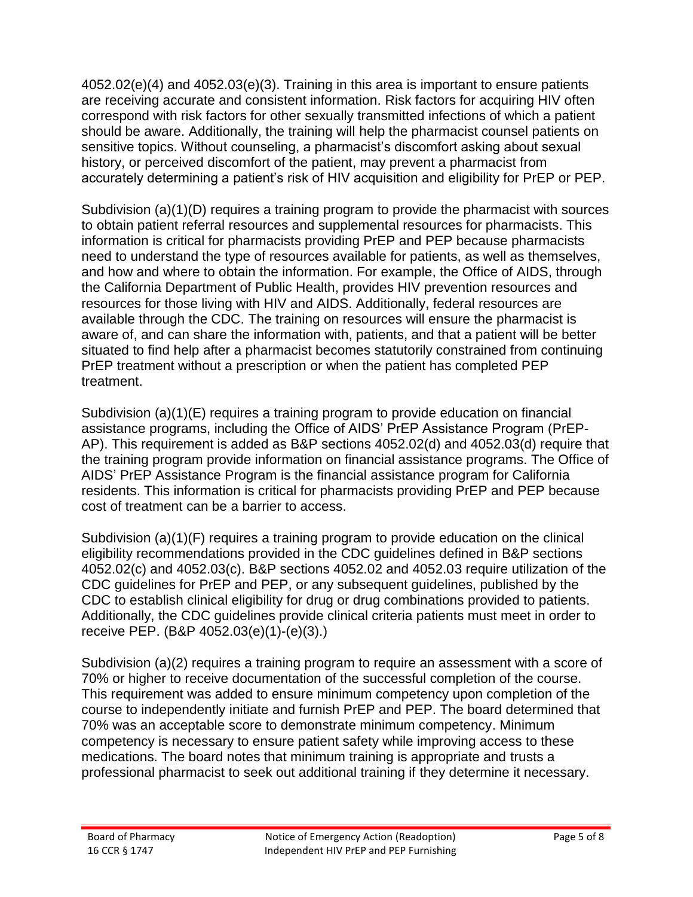4052.02(e)(4) and 4052.03(e)(3). Training in this area is important to ensure patients are receiving accurate and consistent information. Risk factors for acquiring HIV often correspond with risk factors for other sexually transmitted infections of which a patient should be aware. Additionally, the training will help the pharmacist counsel patients on sensitive topics. Without counseling, a pharmacist's discomfort asking about sexual history, or perceived discomfort of the patient, may prevent a pharmacist from accurately determining a patient's risk of HIV acquisition and eligibility for PrEP or PEP.

Subdivision (a)(1)(D) requires a training program to provide the pharmacist with sources to obtain patient referral resources and supplemental resources for pharmacists. This information is critical for pharmacists providing PrEP and PEP because pharmacists need to understand the type of resources available for patients, as well as themselves, and how and where to obtain the information. For example, the Office of AIDS, through the California Department of Public Health, provides HIV prevention resources and resources for those living with HIV and AIDS. Additionally, federal resources are available through the CDC. The training on resources will ensure the pharmacist is aware of, and can share the information with, patients, and that a patient will be better situated to find help after a pharmacist becomes statutorily constrained from continuing PrEP treatment without a prescription or when the patient has completed PEP treatment.

Subdivision (a)(1)(E) requires a training program to provide education on financial assistance programs, including the Office of AIDS' PrEP Assistance Program (PrEP-AP). This requirement is added as B&P sections 4052.02(d) and 4052.03(d) require that the training program provide information on financial assistance programs. The Office of AIDS' PrEP Assistance Program is the financial assistance program for California residents. This information is critical for pharmacists providing PrEP and PEP because cost of treatment can be a barrier to access.

Subdivision (a)(1)(F) requires a training program to provide education on the clinical eligibility recommendations provided in the CDC guidelines defined in B&P sections 4052.02(c) and 4052.03(c). B&P sections 4052.02 and 4052.03 require utilization of the CDC guidelines for PrEP and PEP, or any subsequent guidelines, published by the CDC to establish clinical eligibility for drug or drug combinations provided to patients. Additionally, the CDC guidelines provide clinical criteria patients must meet in order to receive PEP. (B&P 4052.03(e)(1)-(e)(3).)

Subdivision (a)(2) requires a training program to require an assessment with a score of 70% or higher to receive documentation of the successful completion of the course. This requirement was added to ensure minimum competency upon completion of the course to independently initiate and furnish PrEP and PEP. The board determined that 70% was an acceptable score to demonstrate minimum competency. Minimum competency is necessary to ensure patient safety while improving access to these medications. The board notes that minimum training is appropriate and trusts a professional pharmacist to seek out additional training if they determine it necessary.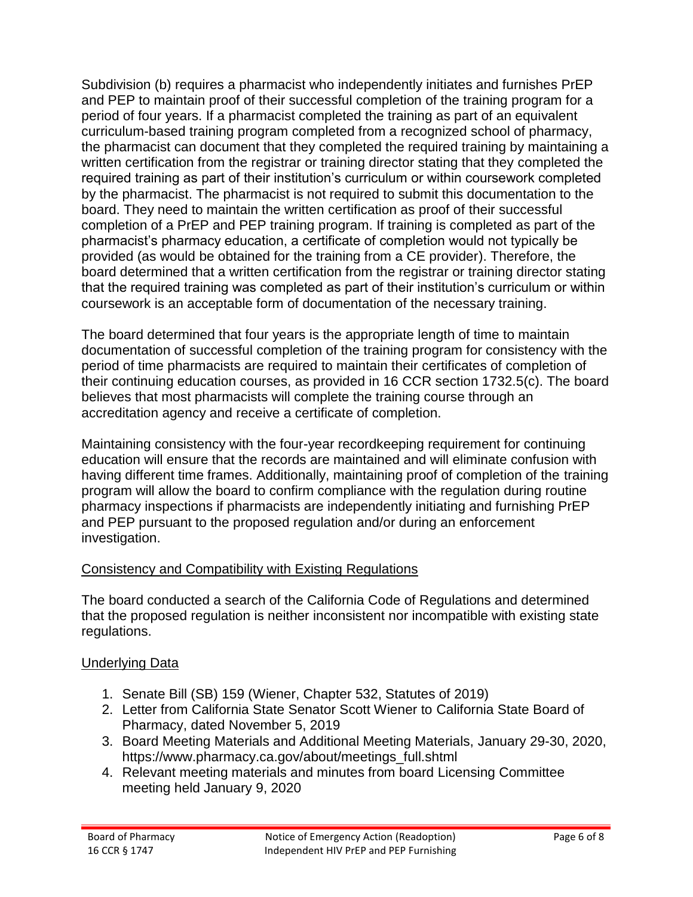Subdivision (b) requires a pharmacist who independently initiates and furnishes PrEP and PEP to maintain proof of their successful completion of the training program for a period of four years. If a pharmacist completed the training as part of an equivalent curriculum-based training program completed from a recognized school of pharmacy, the pharmacist can document that they completed the required training by maintaining a written certification from the registrar or training director stating that they completed the required training as part of their institution's curriculum or within coursework completed by the pharmacist. The pharmacist is not required to submit this documentation to the board. They need to maintain the written certification as proof of their successful completion of a PrEP and PEP training program. If training is completed as part of the pharmacist's pharmacy education, a certificate of completion would not typically be provided (as would be obtained for the training from a CE provider). Therefore, the board determined that a written certification from the registrar or training director stating that the required training was completed as part of their institution's curriculum or within coursework is an acceptable form of documentation of the necessary training.

The board determined that four years is the appropriate length of time to maintain documentation of successful completion of the training program for consistency with the period of time pharmacists are required to maintain their certificates of completion of their continuing education courses, as provided in 16 CCR section 1732.5(c). The board believes that most pharmacists will complete the training course through an accreditation agency and receive a certificate of completion.

Maintaining consistency with the four-year recordkeeping requirement for continuing education will ensure that the records are maintained and will eliminate confusion with having different time frames. Additionally, maintaining proof of completion of the training program will allow the board to confirm compliance with the regulation during routine pharmacy inspections if pharmacists are independently initiating and furnishing PrEP and PEP pursuant to the proposed regulation and/or during an enforcement investigation.

# Consistency and Compatibility with Existing Regulations

The board conducted a search of the California Code of Regulations and determined that the proposed regulation is neither inconsistent nor incompatible with existing state regulations.

# Underlying Data

- 1. Senate Bill (SB) 159 (Wiener, Chapter 532, Statutes of 2019)
- 2. Letter from California State Senator Scott Wiener to California State Board of Pharmacy, dated November 5, 2019
- 3. Board Meeting Materials and Additional Meeting Materials, January 29-30, 2020, https://www.pharmacy.ca.gov/about/meetings\_full.shtml
- 4. Relevant meeting materials and minutes from board Licensing Committee meeting held January 9, 2020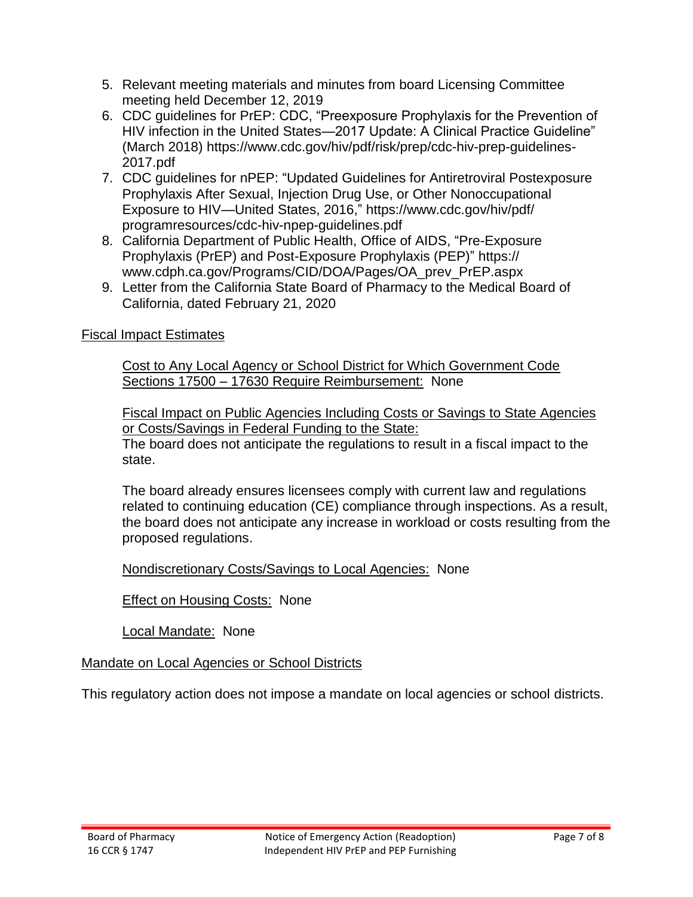- 5. Relevant meeting materials and minutes from board Licensing Committee meeting held December 12, 2019
- 6. CDC guidelines for PrEP: CDC, "Preexposure Prophylaxis for the Prevention of HIV infection in the United States—2017 Update: A Clinical Practice Guideline" (March 2018) https://www.cdc.gov/hiv/pdf/risk/prep/cdc-hiv-prep-guidelines-2017.pdf
- 7. CDC guidelines for nPEP: "Updated Guidelines for Antiretroviral Postexposure Prophylaxis After Sexual, Injection Drug Use, or Other Nonoccupational Exposure to HIV—United States, 2016," https://www.cdc.gov/hiv/pdf/ programresources/cdc-hiv-npep-guidelines.pdf
- 8. California Department of Public Health, Office of AIDS, "Pre-Exposure Prophylaxis (PrEP) and Post-Exposure Prophylaxis (PEP)" https:// www.cdph.ca.gov/Programs/CID/DOA/Pages/OA\_prev\_PrEP.aspx
- 9. Letter from the California State Board of Pharmacy to the Medical Board of California, dated February 21, 2020

# Fiscal Impact Estimates

Cost to Any Local Agency or School District for Which Government Code Sections 17500 – 17630 Require Reimbursement: None

Fiscal Impact on Public Agencies Including Costs or Savings to State Agencies or Costs/Savings in Federal Funding to the State: The board does not anticipate the regulations to result in a fiscal impact to the state.

The board already ensures licensees comply with current law and regulations related to continuing education (CE) compliance through inspections. As a result, the board does not anticipate any increase in workload or costs resulting from the proposed regulations.

Nondiscretionary Costs/Savings to Local Agencies: None

Effect on Housing Costs: None

Local Mandate: None

# Mandate on Local Agencies or School Districts

This regulatory action does not impose a mandate on local agencies or school districts.